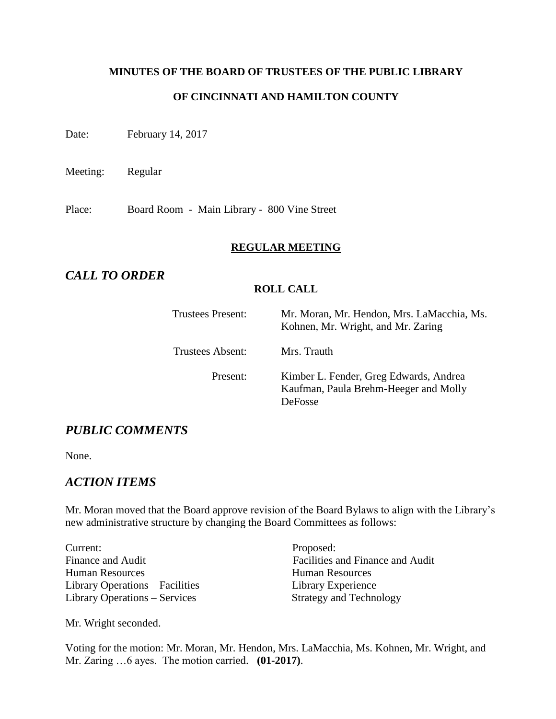# **MINUTES OF THE BOARD OF TRUSTEES OF THE PUBLIC LIBRARY OF CINCINNATI AND HAMILTON COUNTY**

Date: February 14, 2017

Meeting: Regular

Place: Board Room - Main Library - 800 Vine Street

### **REGULAR MEETING**

# *CALL TO ORDER*

### **ROLL CALL**

| <b>Trustees Present:</b> | Mr. Moran, Mr. Hendon, Mrs. LaMacchia, Ms.<br>Kohnen, Mr. Wright, and Mr. Zaring                  |
|--------------------------|---------------------------------------------------------------------------------------------------|
| Trustees Absent:         | Mrs. Trauth                                                                                       |
| Present:                 | Kimber L. Fender, Greg Edwards, Andrea<br>Kaufman, Paula Brehm-Heeger and Molly<br><b>DeFosse</b> |

# *PUBLIC COMMENTS*

None.

# *ACTION ITEMS*

Mr. Moran moved that the Board approve revision of the Board Bylaws to align with the Library's new administrative structure by changing the Board Committees as follows:

Current: Proposed: Human Resources Human Resources Library Operations – Facilities Library Experience Library Operations – Services Strategy and Technology

Finance and Audit Facilities and Finance and Audit

Mr. Wright seconded.

Voting for the motion: Mr. Moran, Mr. Hendon, Mrs. LaMacchia, Ms. Kohnen, Mr. Wright, and Mr. Zaring …6 ayes. The motion carried. **(01-2017)**.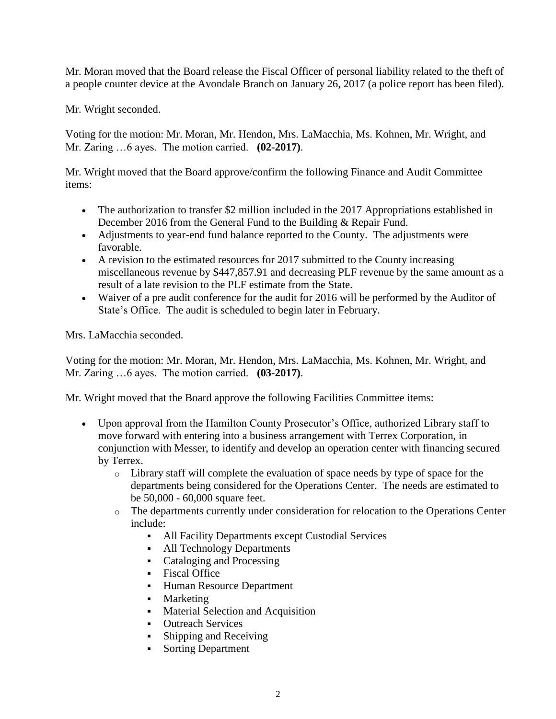Mr. Moran moved that the Board release the Fiscal Officer of personal liability related to the theft of a people counter device at the Avondale Branch on January 26, 2017 (a police report has been filed).

Mr. Wright seconded.

Voting for the motion: Mr. Moran, Mr. Hendon, Mrs. LaMacchia, Ms. Kohnen, Mr. Wright, and Mr. Zaring …6 ayes. The motion carried. **(02-2017)**.

Mr. Wright moved that the Board approve/confirm the following Finance and Audit Committee items:

- The authorization to transfer \$2 million included in the 2017 Appropriations established in December 2016 from the General Fund to the Building & Repair Fund.
- Adjustments to year-end fund balance reported to the County. The adjustments were favorable.
- A revision to the estimated resources for 2017 submitted to the County increasing miscellaneous revenue by \$447,857.91 and decreasing PLF revenue by the same amount as a result of a late revision to the PLF estimate from the State.
- Waiver of a pre audit conference for the audit for 2016 will be performed by the Auditor of State's Office. The audit is scheduled to begin later in February.

Mrs. LaMacchia seconded.

Voting for the motion: Mr. Moran, Mr. Hendon, Mrs. LaMacchia, Ms. Kohnen, Mr. Wright, and Mr. Zaring …6 ayes. The motion carried. **(03-2017)**.

Mr. Wright moved that the Board approve the following Facilities Committee items:

- Upon approval from the Hamilton County Prosecutor's Office, authorized Library staff to move forward with entering into a business arrangement with Terrex Corporation, in conjunction with Messer, to identify and develop an operation center with financing secured by Terrex.
	- o Library staff will complete the evaluation of space needs by type of space for the departments being considered for the Operations Center. The needs are estimated to be 50,000 - 60,000 square feet.
	- o The departments currently under consideration for relocation to the Operations Center include:
		- All Facility Departments except Custodial Services
		- All Technology Departments
		- Cataloging and Processing
		- **Fiscal Office**
		- Human Resource Department
		- Marketing
		- Material Selection and Acquisition
		- Outreach Services
		- Shipping and Receiving
		- Sorting Department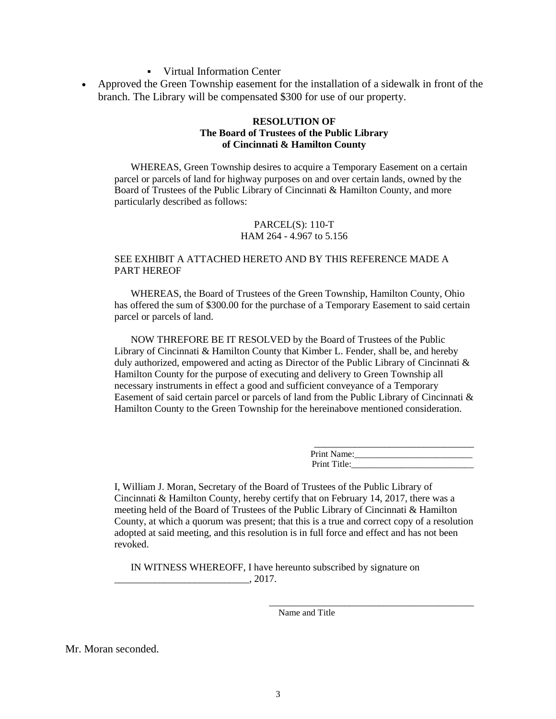- Virtual Information Center
- Approved the Green Township easement for the installation of a sidewalk in front of the branch. The Library will be compensated \$300 for use of our property.

#### **RESOLUTION OF The Board of Trustees of the Public Library of Cincinnati & Hamilton County**

WHEREAS, Green Township desires to acquire a Temporary Easement on a certain parcel or parcels of land for highway purposes on and over certain lands, owned by the Board of Trustees of the Public Library of Cincinnati & Hamilton County, and more particularly described as follows:

#### PARCEL(S): 110-T HAM 264 - 4.967 to 5.156

#### SEE EXHIBIT A ATTACHED HERETO AND BY THIS REFERENCE MADE A PART HEREOF

WHEREAS, the Board of Trustees of the Green Township, Hamilton County, Ohio has offered the sum of \$300.00 for the purchase of a Temporary Easement to said certain parcel or parcels of land.

NOW THREFORE BE IT RESOLVED by the Board of Trustees of the Public Library of Cincinnati & Hamilton County that Kimber L. Fender, shall be, and hereby duly authorized, empowered and acting as Director of the Public Library of Cincinnati & Hamilton County for the purpose of executing and delivery to Green Township all necessary instruments in effect a good and sufficient conveyance of a Temporary Easement of said certain parcel or parcels of land from the Public Library of Cincinnati & Hamilton County to the Green Township for the hereinabove mentioned consideration.

| Print Name:  |  |
|--------------|--|
| Print Title: |  |

\_\_\_\_\_\_\_\_\_\_\_\_\_\_\_\_\_\_\_\_\_\_\_\_\_\_\_\_\_\_\_\_\_\_\_\_\_\_\_\_\_

I, William J. Moran, Secretary of the Board of Trustees of the Public Library of Cincinnati & Hamilton County, hereby certify that on February 14, 2017, there was a meeting held of the Board of Trustees of the Public Library of Cincinnati & Hamilton County, at which a quorum was present; that this is a true and correct copy of a resolution adopted at said meeting, and this resolution is in full force and effect and has not been revoked.

IN WITNESS WHEREOFF, I have hereunto subscribed by signature on  $, 2017.$ 

Name and Title

Mr. Moran seconded.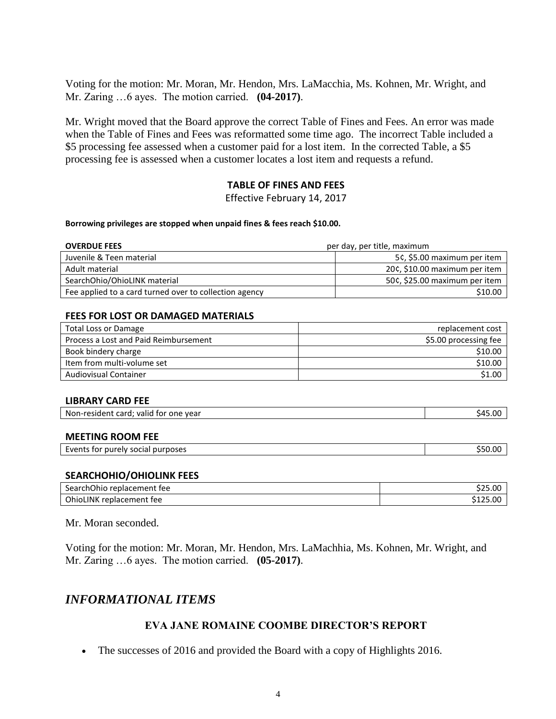Voting for the motion: Mr. Moran, Mr. Hendon, Mrs. LaMacchia, Ms. Kohnen, Mr. Wright, and Mr. Zaring …6 ayes. The motion carried. **(04-2017)**.

Mr. Wright moved that the Board approve the correct Table of Fines and Fees. An error was made when the Table of Fines and Fees was reformatted some time ago. The incorrect Table included a \$5 processing fee assessed when a customer paid for a lost item. In the corrected Table, a \$5 processing fee is assessed when a customer locates a lost item and requests a refund.

### **TABLE OF FINES AND FEES**

Effective February 14, 2017

#### **Borrowing privileges are stopped when unpaid fines & fees reach \$10.00.**

| per day, per title, maximum<br><b>OVERDUE FEES</b>     |                               |
|--------------------------------------------------------|-------------------------------|
| Juvenile & Teen material                               | 5¢, \$5.00 maximum per item   |
| Adult material                                         | 20¢, \$10.00 maximum per item |
| SearchOhio/OhioLINK material                           | 50¢, \$25.00 maximum per item |
| Fee applied to a card turned over to collection agency | \$10.00                       |

#### **FEES FOR LOST OR DAMAGED MATERIALS**

| Total Loss or Damage                  | replacement cost      |
|---------------------------------------|-----------------------|
| Process a Lost and Paid Reimbursement | \$5.00 processing fee |
| Book bindery charge                   | \$10.00               |
| Item from multi-volume set            | \$10.00               |
| <b>Audiovisual Container</b>          | \$1.00                |

#### **LIBRARY CARD FEE**

| Non-resident card; valid for one year | \$45.00 |
|---------------------------------------|---------|
|                                       |         |

#### **MEETING ROOM FEE**

| Events for purely social purposes | ` 50.UU |
|-----------------------------------|---------|
|                                   |         |

#### **SEARCHOHIO/OHIOLINK FEES**

| <b>SearchOhio</b><br>replacement fee | 525.00   |
|--------------------------------------|----------|
| <b>OhioLINK</b><br>replacement fee   | \$125.00 |

#### Mr. Moran seconded.

Voting for the motion: Mr. Moran, Mr. Hendon, Mrs. LaMachhia, Ms. Kohnen, Mr. Wright, and Mr. Zaring …6 ayes. The motion carried. **(05-2017)**.

# *INFORMATIONAL ITEMS*

### **EVA JANE ROMAINE COOMBE DIRECTOR'S REPORT**

• The successes of 2016 and provided the Board with a copy of Highlights 2016.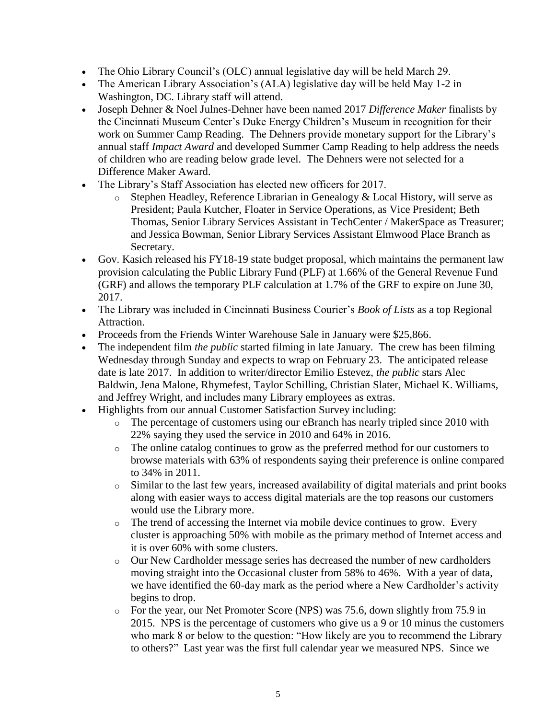- The Ohio Library Council's (OLC) annual legislative day will be held March 29.
- The American Library Association's (ALA) legislative day will be held May 1-2 in Washington, DC. Library staff will attend.
- Joseph Dehner & Noel Julnes-Dehner have been named 2017 *Difference Maker* finalists by the Cincinnati Museum Center's Duke Energy Children's Museum in recognition for their work on Summer Camp Reading. The Dehners provide monetary support for the Library's annual staff *Impact Award* and developed Summer Camp Reading to help address the needs of children who are reading below grade level. The Dehners were not selected for a Difference Maker Award.
- The Library's Staff Association has elected new officers for 2017.
	- o Stephen Headley, Reference Librarian in Genealogy & Local History, will serve as President; Paula Kutcher, Floater in Service Operations, as Vice President; Beth Thomas, Senior Library Services Assistant in TechCenter / MakerSpace as Treasurer; and Jessica Bowman, Senior Library Services Assistant Elmwood Place Branch as Secretary.
- Gov. Kasich released his FY18-19 state budget proposal, which maintains the permanent law provision calculating the Public Library Fund (PLF) at 1.66% of the General Revenue Fund (GRF) and allows the temporary PLF calculation at 1.7% of the GRF to expire on June 30, 2017.
- The Library was included in Cincinnati Business Courier's *Book of Lists* as a top Regional Attraction.
- Proceeds from the Friends Winter Warehouse Sale in January were \$25,866.
- The independent film *the public* started filming in late January. The crew has been filming Wednesday through Sunday and expects to wrap on February 23. The anticipated release date is late 2017. In addition to writer/director Emilio Estevez, *the public* stars Alec Baldwin, Jena Malone, Rhymefest, Taylor Schilling, Christian Slater, Michael K. Williams, and Jeffrey Wright, and includes many Library employees as extras.
- Highlights from our annual Customer Satisfaction Survey including:
	- o The percentage of customers using our eBranch has nearly tripled since 2010 with 22% saying they used the service in 2010 and 64% in 2016.
	- o The online catalog continues to grow as the preferred method for our customers to browse materials with 63% of respondents saying their preference is online compared to 34% in 2011.
	- o Similar to the last few years, increased availability of digital materials and print books along with easier ways to access digital materials are the top reasons our customers would use the Library more.
	- o The trend of accessing the Internet via mobile device continues to grow. Every cluster is approaching 50% with mobile as the primary method of Internet access and it is over 60% with some clusters.
	- o Our New Cardholder message series has decreased the number of new cardholders moving straight into the Occasional cluster from 58% to 46%. With a year of data, we have identified the 60-day mark as the period where a New Cardholder's activity begins to drop.
	- o For the year, our Net Promoter Score (NPS) was 75.6, down slightly from 75.9 in 2015. NPS is the percentage of customers who give us a 9 or 10 minus the customers who mark 8 or below to the question: "How likely are you to recommend the Library to others?" Last year was the first full calendar year we measured NPS. Since we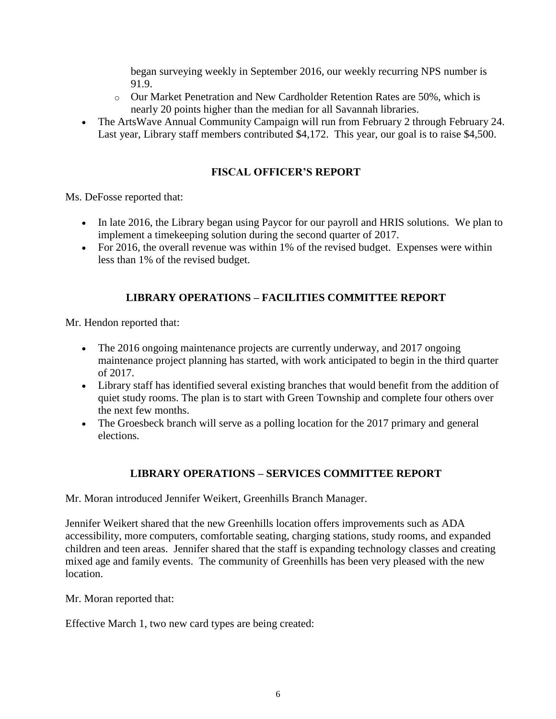began surveying weekly in September 2016, our weekly recurring NPS number is 91.9.

- o Our Market Penetration and New Cardholder Retention Rates are 50%, which is nearly 20 points higher than the median for all Savannah libraries.
- The ArtsWave Annual Community Campaign will run from February 2 through February 24. Last year, Library staff members contributed \$4,172. This year, our goal is to raise \$4,500.

# **FISCAL OFFICER'S REPORT**

Ms. DeFosse reported that:

- In late 2016, the Library began using Paycor for our payroll and HRIS solutions. We plan to implement a timekeeping solution during the second quarter of 2017.
- For 2016, the overall revenue was within 1% of the revised budget. Expenses were within less than 1% of the revised budget.

## **LIBRARY OPERATIONS – FACILITIES COMMITTEE REPORT**

Mr. Hendon reported that:

- The 2016 ongoing maintenance projects are currently underway, and 2017 ongoing maintenance project planning has started, with work anticipated to begin in the third quarter of 2017.
- Library staff has identified several existing branches that would benefit from the addition of quiet study rooms. The plan is to start with Green Township and complete four others over the next few months.
- The Groesbeck branch will serve as a polling location for the 2017 primary and general elections.

## **LIBRARY OPERATIONS – SERVICES COMMITTEE REPORT**

Mr. Moran introduced Jennifer Weikert, Greenhills Branch Manager.

Jennifer Weikert shared that the new Greenhills location offers improvements such as ADA accessibility, more computers, comfortable seating, charging stations, study rooms, and expanded children and teen areas. Jennifer shared that the staff is expanding technology classes and creating mixed age and family events. The community of Greenhills has been very pleased with the new location.

Mr. Moran reported that:

Effective March 1, two new card types are being created: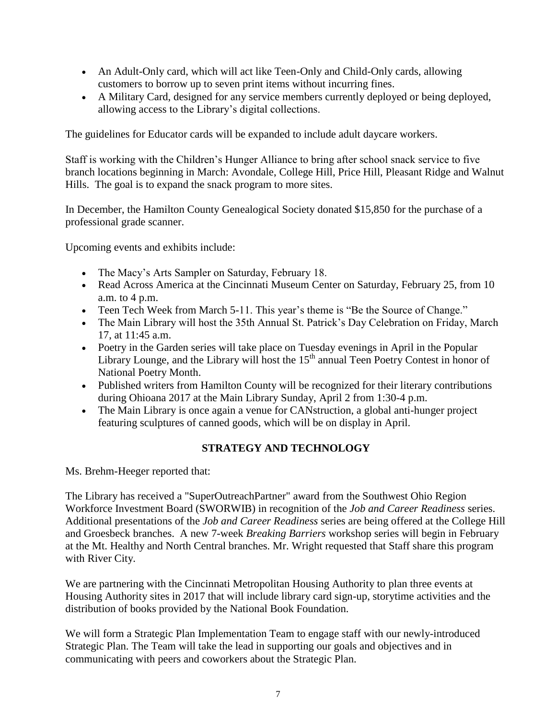- An Adult-Only card, which will act like Teen-Only and Child-Only cards, allowing customers to borrow up to seven print items without incurring fines.
- A Military Card, designed for any service members currently deployed or being deployed, allowing access to the Library's digital collections.

The guidelines for Educator cards will be expanded to include adult daycare workers.

Staff is working with the Children's Hunger Alliance to bring after school snack service to five branch locations beginning in March: Avondale, College Hill, Price Hill, Pleasant Ridge and Walnut Hills. The goal is to expand the snack program to more sites.

In December, the Hamilton County Genealogical Society donated \$15,850 for the purchase of a professional grade scanner.

Upcoming events and exhibits include:

- The Macy's Arts Sampler on Saturday, February 18.
- Read Across America at the Cincinnati Museum Center on Saturday, February 25, from 10 a.m. to 4 p.m.
- Teen Tech Week from March 5-11. This year's theme is "Be the Source of Change."
- The Main Library will host the 35th Annual St. Patrick's Day Celebration on Friday, March 17, at 11:45 a.m.
- Poetry in the Garden series will take place on Tuesday evenings in April in the Popular Library Lounge, and the Library will host the  $15<sup>th</sup>$  annual Teen Poetry Contest in honor of National Poetry Month.
- Published writers from Hamilton County will be recognized for their literary contributions during Ohioana 2017 at the Main Library Sunday, April 2 from 1:30-4 p.m.
- The Main Library is once again a venue for CANstruction, a global anti-hunger project featuring sculptures of canned goods, which will be on display in April.

# **STRATEGY AND TECHNOLOGY**

Ms. Brehm-Heeger reported that:

The Library has received a "SuperOutreachPartner" award from the Southwest Ohio Region Workforce Investment Board (SWORWIB) in recognition of the *Job and Career Readiness* series. Additional presentations of the *Job and Career Readiness* series are being offered at the College Hill and Groesbeck branches. A new 7-week *Breaking Barriers* workshop series will begin in February at the Mt. Healthy and North Central branches. Mr. Wright requested that Staff share this program with River City.

We are partnering with the Cincinnati Metropolitan Housing Authority to plan three events at Housing Authority sites in 2017 that will include library card sign-up, storytime activities and the distribution of books provided by the National Book Foundation.

We will form a Strategic Plan Implementation Team to engage staff with our newly-introduced Strategic Plan. The Team will take the lead in supporting our goals and objectives and in communicating with peers and coworkers about the Strategic Plan.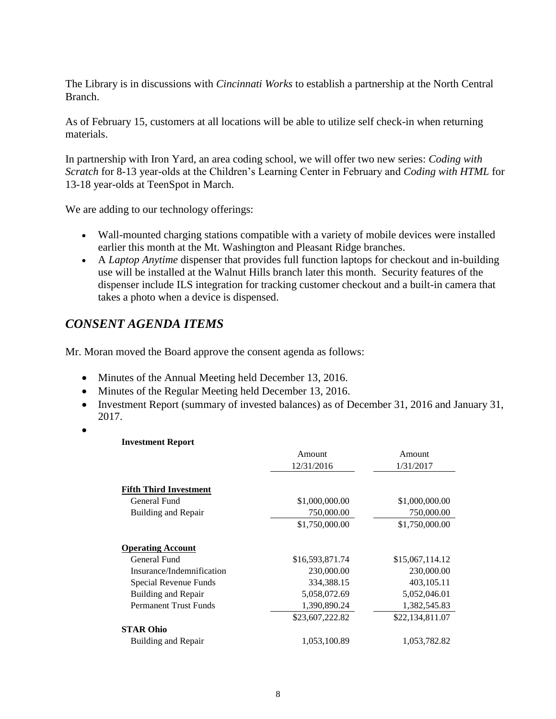The Library is in discussions with *Cincinnati Works* to establish a partnership at the North Central Branch.

As of February 15, customers at all locations will be able to utilize self check-in when returning materials.

In partnership with Iron Yard, an area coding school, we will offer two new series: *Coding with Scratch* for 8-13 year-olds at the Children's Learning Center in February and *Coding with HTML* for 13-18 year-olds at TeenSpot in March.

We are adding to our technology offerings:

- Wall-mounted charging stations compatible with a variety of mobile devices were installed earlier this month at the Mt. Washington and Pleasant Ridge branches.
- A *Laptop Anytime* dispenser that provides full function laptops for checkout and in-building use will be installed at the Walnut Hills branch later this month. Security features of the dispenser include ILS integration for tracking customer checkout and a built-in camera that takes a photo when a device is dispensed.

# *CONSENT AGENDA ITEMS*

Mr. Moran moved the Board approve the consent agenda as follows:

- Minutes of the Annual Meeting held December 13, 2016.
- Minutes of the Regular Meeting held December 13, 2016.
- Investment Report (summary of invested balances) as of December 31, 2016 and January 31, 2017.
- $\bullet$

### **Investment Report**

|                               | Amount          | Amount          |  |
|-------------------------------|-----------------|-----------------|--|
|                               | 12/31/2016      | 1/31/2017       |  |
|                               |                 |                 |  |
| <b>Fifth Third Investment</b> |                 |                 |  |
| General Fund                  | \$1,000,000.00  | \$1,000,000.00  |  |
| Building and Repair           | 750,000.00      | 750,000.00      |  |
|                               | \$1,750,000.00  | \$1,750,000.00  |  |
| <b>Operating Account</b>      |                 |                 |  |
| General Fund                  | \$16,593,871.74 | \$15,067,114.12 |  |
| Insurance/Indemnification     | 230,000.00      | 230,000.00      |  |
| Special Revenue Funds         | 334,388.15      | 403,105.11      |  |
| Building and Repair           | 5,058,072.69    | 5,052,046.01    |  |
| <b>Permanent Trust Funds</b>  | 1,390,890.24    | 1,382,545.83    |  |
|                               | \$23,607,222.82 | \$22,134,811.07 |  |
| <b>STAR Ohio</b>              |                 |                 |  |
| Building and Repair           | 1,053,100.89    | 1,053,782.82    |  |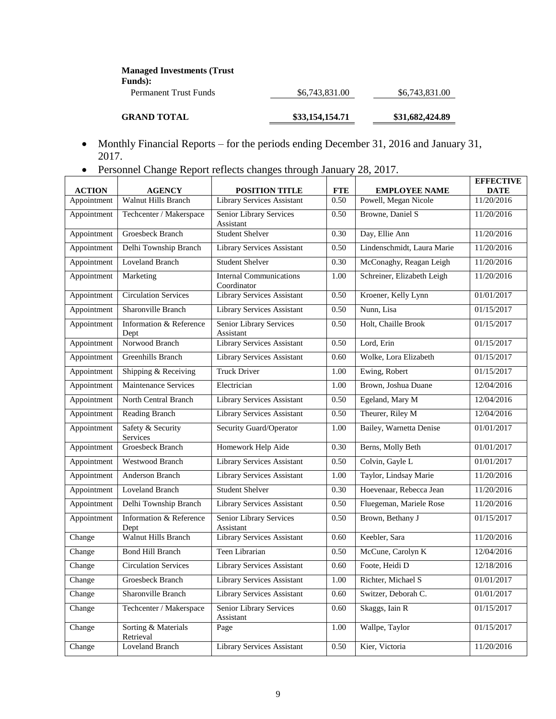| <b>Managed Investments (Trust)</b><br>Funds): |                 |                 |
|-----------------------------------------------|-----------------|-----------------|
| Permanent Trust Funds                         | \$6,743,831.00  | \$6,743,831.00  |
| <b>GRAND TOTAL</b>                            | \$33,154,154,71 | \$31,682,424.89 |

- Monthly Financial Reports for the periods ending December 31, 2016 and January 31, 2017.
- Personnel Change Report reflects changes through January 28, 2017.

| <b>ACTION</b> |                                             | <b>POSITION TITLE</b>                         | <b>FTE</b> | <b>EMPLOYEE NAME</b>       | <b>EFFECTIVE</b><br><b>DATE</b> |
|---------------|---------------------------------------------|-----------------------------------------------|------------|----------------------------|---------------------------------|
| Appointment   | <b>AGENCY</b><br><b>Walnut Hills Branch</b> | Library Services Assistant                    | 0.50       | Powell, Megan Nicole       | 11/20/2016                      |
| Appointment   | Techcenter / Makerspace                     | Senior Library Services<br>Assistant          | 0.50       | Browne, Daniel S           | 11/20/2016                      |
| Appointment   | Groesbeck Branch                            | <b>Student Shelver</b>                        | 0.30       | Day, Ellie Ann             | 11/20/2016                      |
| Appointment   | Delhi Township Branch                       | Library Services Assistant                    | 0.50       | Lindenschmidt, Laura Marie | 11/20/2016                      |
| Appointment   | <b>Loveland Branch</b>                      | <b>Student Shelver</b>                        | 0.30       | McConaghy, Reagan Leigh    | 11/20/2016                      |
| Appointment   | Marketing                                   | <b>Internal Communications</b><br>Coordinator | 1.00       | Schreiner, Elizabeth Leigh | 11/20/2016                      |
| Appointment   | <b>Circulation Services</b>                 | Library Services Assistant                    | 0.50       | Kroener, Kelly Lynn        | 01/01/2017                      |
| Appointment   | Sharonville Branch                          | <b>Library Services Assistant</b>             | 0.50       | Nunn, Lisa                 | 01/15/2017                      |
| Appointment   | Information & Reference<br>Dept             | <b>Senior Library Services</b><br>Assistant   | 0.50       | Holt, Chaille Brook        | 01/15/2017                      |
| Appointment   | Norwood Branch                              | <b>Library Services Assistant</b>             | 0.50       | Lord, Erin                 | 01/15/2017                      |
| Appointment   | Greenhills Branch                           | Library Services Assistant                    | 0.60       | Wolke, Lora Elizabeth      | 01/15/2017                      |
| Appointment   | Shipping & Receiving                        | <b>Truck Driver</b>                           | 1.00       | Ewing, Robert              | 01/15/2017                      |
| Appointment   | Maintenance Services                        | Electrician                                   | 1.00       | Brown, Joshua Duane        | 12/04/2016                      |
| Appointment   | North Central Branch                        | Library Services Assistant                    | 0.50       | Egeland, Mary M            | 12/04/2016                      |
| Appointment   | Reading Branch                              | Library Services Assistant                    | 0.50       | Theurer, Riley M           | 12/04/2016                      |
| Appointment   | Safety & Security<br>Services               | Security Guard/Operator                       | 1.00       | Bailey, Warnetta Denise    | 01/01/2017                      |
| Appointment   | <b>Groesbeck Branch</b>                     | Homework Help Aide                            | 0.30       | Berns, Molly Beth          | 01/01/2017                      |
| Appointment   | Westwood Branch                             | <b>Library Services Assistant</b>             | 0.50       | Colvin, Gayle L            | 01/01/2017                      |
| Appointment   | Anderson Branch                             | <b>Library Services Assistant</b>             | 1.00       | Taylor, Lindsay Marie      | 11/20/2016                      |
| Appointment   | <b>Loveland Branch</b>                      | <b>Student Shelver</b>                        | 0.30       | Hoevenaar, Rebecca Jean    | 11/20/2016                      |
| Appointment   | Delhi Township Branch                       | Library Services Assistant                    | 0.50       | Fluegeman, Mariele Rose    | 11/20/2016                      |
| Appointment   | Information & Reference<br>Dept             | <b>Senior Library Services</b><br>Assistant   | 0.50       | Brown, Bethany J           | 01/15/2017                      |
| Change        | Walnut Hills Branch                         | <b>Library Services Assistant</b>             | 0.60       | Keebler, Sara              | 11/20/2016                      |
| Change        | <b>Bond Hill Branch</b>                     | Teen Librarian                                | 0.50       | McCune, Carolyn K          | 12/04/2016                      |
| Change        | <b>Circulation Services</b>                 | Library Services Assistant                    | 0.60       | Foote, Heidi D             | 12/18/2016                      |
| Change        | Groesbeck Branch                            | <b>Library Services Assistant</b>             | 1.00       | Richter, Michael S         | 01/01/2017                      |
| Change        | Sharonville Branch                          | Library Services Assistant                    | 0.60       | Switzer, Deborah C.        | 01/01/2017                      |
| Change        | Techcenter / Makerspace                     | <b>Senior Library Services</b><br>Assistant   | 0.60       | Skaggs, Iain R             | 01/15/2017                      |
| Change        | Sorting & Materials<br>Retrieval            | Page                                          | 1.00       | Wallpe, Taylor             | 01/15/2017                      |
| Change        | <b>Loveland Branch</b>                      | <b>Library Services Assistant</b>             | 0.50       | Kier, Victoria             | 11/20/2016                      |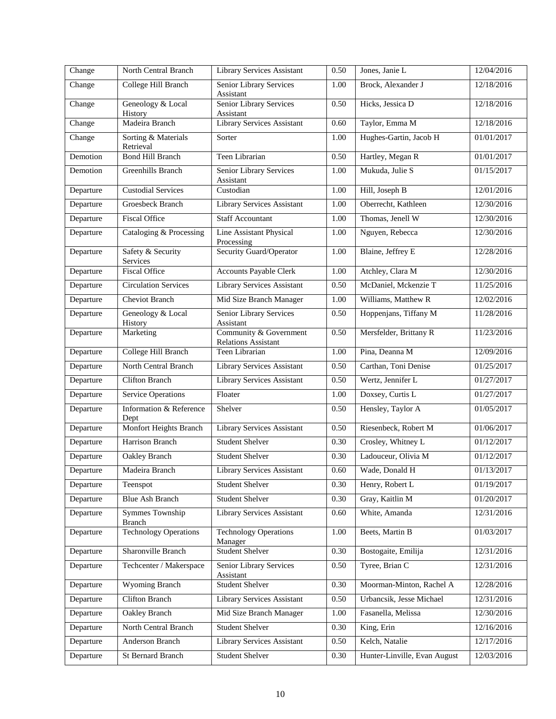| Change    | North Central Branch             | Library Services Assistant                           | 0.50 | Jones, Janie L               | 12/04/2016          |
|-----------|----------------------------------|------------------------------------------------------|------|------------------------------|---------------------|
| Change    | College Hill Branch              | Senior Library Services<br>Assistant                 | 1.00 | Brock, Alexander J           | 12/18/2016          |
| Change    | Geneology & Local<br>History     | Senior Library Services<br>Assistant                 | 0.50 | Hicks, Jessica D             | 12/18/2016          |
| Change    | Madeira Branch                   | <b>Library Services Assistant</b>                    | 0.60 | Taylor, Emma M               | 12/18/2016          |
| Change    | Sorting & Materials<br>Retrieval | Sorter                                               | 1.00 | Hughes-Gartin, Jacob H       | 01/01/2017          |
| Demotion  | <b>Bond Hill Branch</b>          | Teen Librarian                                       | 0.50 | Hartley, Megan R             | 01/01/2017          |
| Demotion  | Greenhills Branch                | Senior Library Services<br>Assistant                 | 1.00 | Mukuda, Julie S              | 01/15/2017          |
| Departure | <b>Custodial Services</b>        | Custodian                                            | 1.00 | Hill, Joseph B               | 12/01/2016          |
| Departure | Groesbeck Branch                 | Library Services Assistant                           | 1.00 | Oberrecht, Kathleen          | 12/30/2016          |
| Departure | <b>Fiscal Office</b>             | <b>Staff Accountant</b>                              | 1.00 | Thomas, Jenell W             | $\sqrt{12}/30/2016$ |
| Departure | Cataloging & Processing          | Line Assistant Physical<br>Processing                | 1.00 | Nguyen, Rebecca              | 12/30/2016          |
| Departure | Safety & Security<br>Services    | <b>Security Guard/Operator</b>                       | 1.00 | Blaine, Jeffrey E            | 12/28/2016          |
| Departure | <b>Fiscal Office</b>             | <b>Accounts Payable Clerk</b>                        | 1.00 | Atchley, Clara M             | 12/30/2016          |
| Departure | <b>Circulation Services</b>      | Library Services Assistant                           | 0.50 | McDaniel, Mckenzie T         | 11/25/2016          |
| Departure | <b>Cheviot Branch</b>            | Mid Size Branch Manager                              | 1.00 | Williams, Matthew R          | 12/02/2016          |
| Departure | Geneology & Local<br>History     | Senior Library Services<br>Assistant                 | 0.50 | Hoppenjans, Tiffany M        | 11/28/2016          |
| Departure | Marketing                        | Community & Government<br><b>Relations Assistant</b> | 0.50 | Mersfelder, Brittany R       | 11/23/2016          |
| Departure | College Hill Branch              | Teen Librarian                                       | 1.00 | Pina, Deanna M               | 12/09/2016          |
| Departure | North Central Branch             | <b>Library Services Assistant</b>                    | 0.50 | Carthan, Toni Denise         | 01/25/2017          |
| Departure | <b>Clifton Branch</b>            | <b>Library Services Assistant</b>                    | 0.50 | Wertz, Jennifer L            | 01/27/2017          |
| Departure | <b>Service Operations</b>        | Floater                                              | 1.00 | Doxsey, Curtis L             | 01/27/2017          |
| Departure | Information & Reference<br>Dept  | Shelver                                              | 0.50 | Hensley, Taylor A            | 01/05/2017          |
| Departure | Monfort Heights Branch           | Library Services Assistant                           | 0.50 | Riesenbeck, Robert M         | 01/06/2017          |
| Departure | Harrison Branch                  | <b>Student Shelver</b>                               | 0.30 | Crosley, Whitney L           | 01/12/2017          |
| Departure | <b>Oakley Branch</b>             | <b>Student Shelver</b>                               | 0.30 | Ladouceur, Olivia M          | 01/12/2017          |
| Departure | Madeira Branch                   | <b>Library Services Assistant</b>                    | 0.60 | Wade, Donald H               | 01/13/2017          |
| Departure | Teenspot                         | Student Shelver                                      | 0.30 | Henry, Robert L              | 01/19/2017          |
| Departure | <b>Blue Ash Branch</b>           | <b>Student Shelver</b>                               | 0.30 | Gray, Kaitlin M              | 01/20/2017          |
| Departure | Symmes Township<br><b>Branch</b> | Library Services Assistant                           | 0.60 | White, Amanda                | 12/31/2016          |
| Departure | <b>Technology Operations</b>     | <b>Technology Operations</b><br>Manager              | 1.00 | Beets, Martin B              | 01/03/2017          |
| Departure | Sharonville Branch               | <b>Student Shelver</b>                               | 0.30 | Bostogaite, Emilija          | 12/31/2016          |
| Departure | Techcenter / Makerspace          | Senior Library Services<br>Assistant                 | 0.50 | Tyree, Brian C               | 12/31/2016          |
| Departure | Wyoming Branch                   | <b>Student Shelver</b>                               | 0.30 | Moorman-Minton, Rachel A     | 12/28/2016          |
| Departure | <b>Clifton Branch</b>            | Library Services Assistant                           | 0.50 | Urbancsik, Jesse Michael     | 12/31/2016          |
| Departure | Oakley Branch                    | Mid Size Branch Manager                              | 1.00 | Fasanella, Melissa           | 12/30/2016          |
| Departure | North Central Branch             | <b>Student Shelver</b>                               | 0.30 | King, Erin                   | 12/16/2016          |
| Departure | Anderson Branch                  | Library Services Assistant                           | 0.50 | Kelch, Natalie               | 12/17/2016          |
| Departure | St Bernard Branch                | Student Shelver                                      | 0.30 | Hunter-Linville, Evan August | 12/03/2016          |